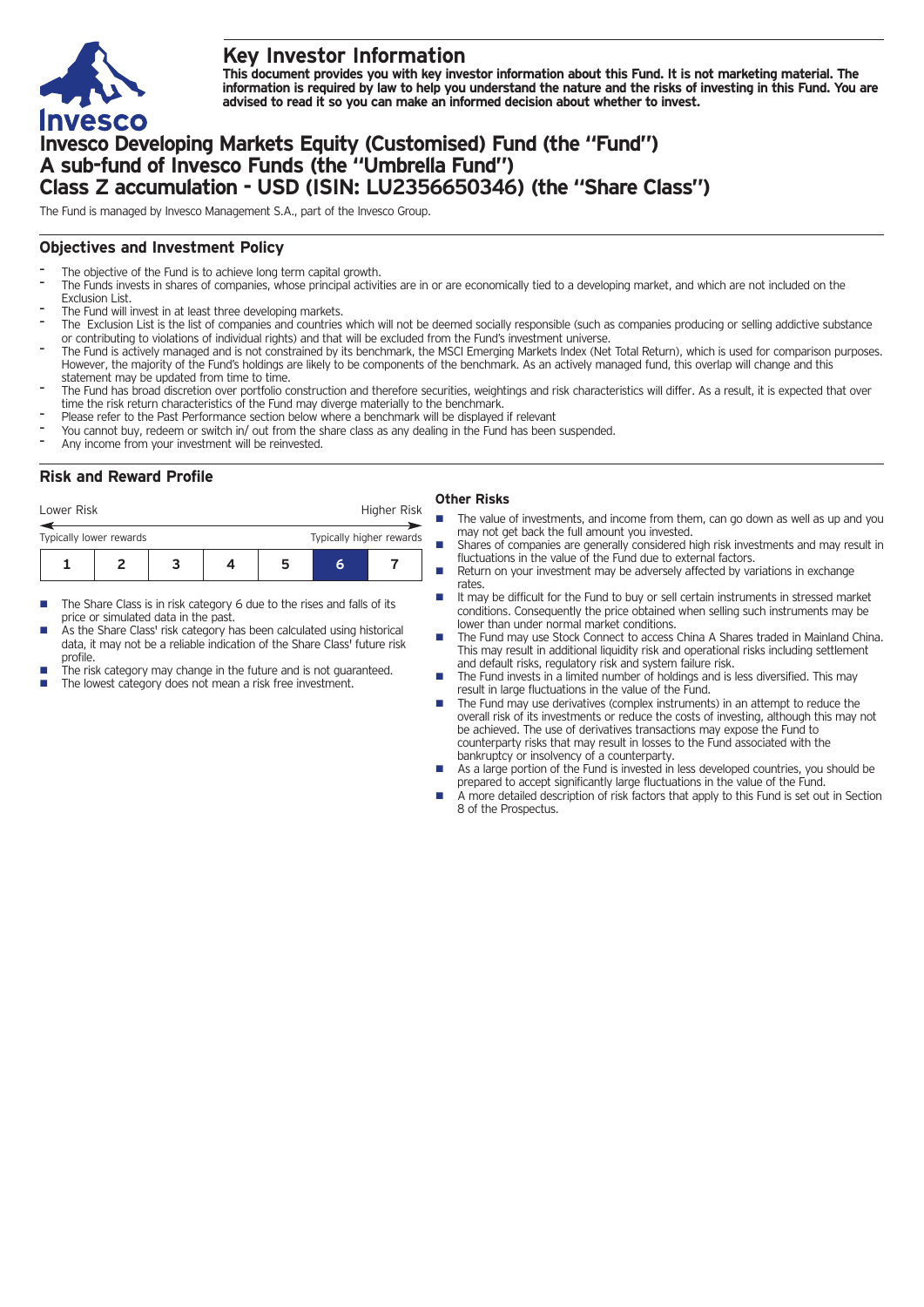

# **Key Investor Information**

This document provides you with key investor information about this Fund. It is not marketing material. The information is required by law to help you understand the nature and the risks of investing in this Fund. You are **advised to read it so you can make an informed decision about whether to invest.**

# **Invesco Developing Markets Equity (Customised) Fund (the "Fund") A sub-fund of Invesco Funds (the "Umbrella Fund") Class Z accumulation - USD (ISIN: LU2356650346) (the "Share Class")**

The Fund is managed by Invesco Management S.A., part of the Invesco Group.

## **Objectives and Investment Policy**

- The objective of the Fund is to achieve long term capital growth.
- The Funds invests in shares of companies, whose principal activities are in or are economically tied to a developing market, and which are not included on the Exclusion List.
- The Fund will invest in at least three developing markets.
- The Exclusion List is the list of companies and countries which will not be deemed socially responsible (such as companies producing or selling addictive substance or contributing to violations of individual rights) and that will be excluded from the Fund's investment universe.
- The Fund is actively managed and is not constrained by its benchmark, the MSCI Emerging Markets Index (Net Total Return), which is used for comparison purposes. However, the majority of the Fund's holdings are likely to be components of the benchmark. As an actively managed fund, this overlap will change and this statement may be updated from time to time.
- The Fund has broad discretion over portfolio construction and therefore securities, weightings and risk characteristics will differ. As a result, it is expected that over time the risk return characteristics of the Fund may diverge materially to the benchmark.
- Please refer to the Past Performance section below where a benchmark will be displayed if relevant
- You cannot buy, redeem or switch in/ out from the share class as any dealing in the Fund has been suspended.
- Any income from your investment will be reinvested.

## **Risk and Reward Profile**

| Lower Risk                                          |  |  |  |  | Higher Risk |  |
|-----------------------------------------------------|--|--|--|--|-------------|--|
| Typically higher rewards<br>Typically lower rewards |  |  |  |  |             |  |
|                                                     |  |  |  |  | h           |  |

- The Share Class is in risk category 6 due to the rises and falls of its price or simulated data in the past.
- As the Share Class' risk category has been calculated using historical data, it may not be a reliable indication of the Share Class' future risk profile.
- The risk category may change in the future and is not guaranteed.
- The lowest category does not mean a risk free investment.

### **Other Risks**

- The value of investments, and income from them, can go down as well as up and you may not get back the full amount you invested.
- Shares of companies are generally considered high risk investments and may result in fluctuations in the value of the Fund due to external factors.
- Return on your investment may be adversely affected by variations in exchange rates.
- It may be difficult for the Fund to buy or sell certain instruments in stressed market conditions. Consequently the price obtained when selling such instruments may be lower than under normal market conditions.
- n The Fund may use Stock Connect to access China A Shares traded in Mainland China. This may result in additional liquidity risk and operational risks including settlement and default risks, regulatory risk and system failure risk.
- n The Fund invests in a limited number of holdings and is less diversified. This may result in large fluctuations in the value of the Fund.
- The Fund may use derivatives (complex instruments) in an attempt to reduce the overall risk of its investments or reduce the costs of investing, although this may not be achieved. The use of derivatives transactions may expose the Fund to counterparty risks that may result in losses to the Fund associated with the bankruptcy or insolvency of a counterparty.
- As a large portion of the Fund is invested in less developed countries, you should be prepared to accept significantly large fluctuations in the value of the Fund.
- A more detailed description of risk factors that apply to this Fund is set out in Section 8 of the Prospectus.